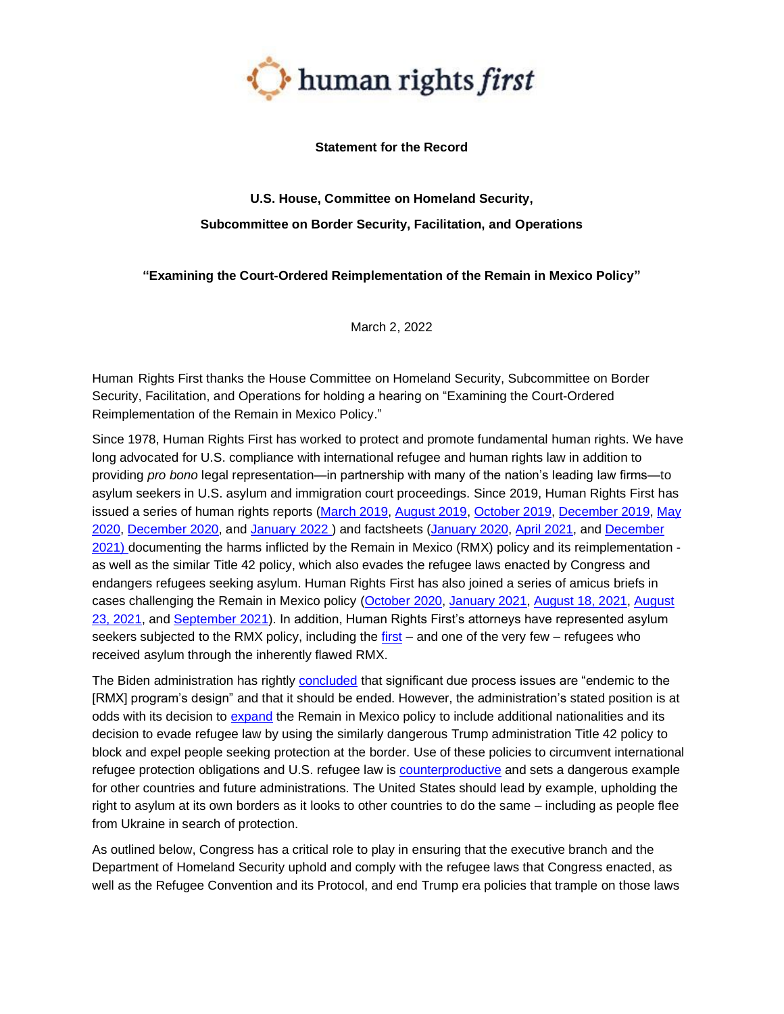

## **Statement for the Record**

# **U.S. House, Committee on Homeland Security, Subcommittee on Border Security, Facilitation, and Operations**

## **"Examining the Court-Ordered Reimplementation of the Remain in Mexico Policy"**

March 2, 2022

Human Rights First thanks the House Committee on Homeland Security, Subcommittee on Border Security, Facilitation, and Operations for holding a hearing on "Examining the Court-Ordered Reimplementation of the Remain in Mexico Policy."

Since 1978, Human Rights First has worked to protect and promote fundamental human rights. We have long advocated for U.S. compliance with international refugee and human rights law in addition to providing *pro bono* legal representation—in partnership with many of the nation's leading law firms—to asylum seekers in U.S. asylum and immigration court proceedings. Since 2019, Human Rights First has issued a series of human rights reports [\(March 2019,](https://www.humanrightsfirst.org/resource/sordid-scheme-trump-administration-s-illegal-return-asylum-seekers-mexico) [August 2019,](https://www.humanrightsfirst.org/resource/delivered-danger-illegal-remain-mexico-policy-imperils-asylum-seekers-lives-and-denies-due) [October 2019,](https://www.humanrightsfirst.org/sites/default/files/hrfordersfromabove.pdf) [December 2019,](https://www.humanrightsfirst.org/sites/default/files/HumanRightsFiascoDec19.pdf) [May](https://www.humanrightsfirst.org/resource/pandemic-pretext-trump-administration-exploits-covid-19-expels-asylum-seekers-and-children)  [2020,](https://www.humanrightsfirst.org/resource/pandemic-pretext-trump-administration-exploits-covid-19-expels-asylum-seekers-and-children) [December 2020,](https://www.humanrightsfirst.org/resource/humanitarian-disgrace-us-continues-illegally-block-expel-refugees-danger) and [January 2022 \)](https://www.humanrightsfirst.org/sites/default/files/ShamefulRecord.pdf) and factsheets [\(January](https://www.humanrightsfirst.org/sites/default/files/MPP-aYearofHorrors-UPDATED.pdf) 2020, [April 2021,](https://www.humanrightsfirst.org/resource/fully-end-migrant-protection-protocols-ensure-safety-all-subjected-horrific-policy) and [December](https://www.humanrightsfirst.org/resource/inhumane-again-remain-mexico-rollout-confirms-endemic-flaws-unfixable-policy)  [2021\) d](https://www.humanrightsfirst.org/resource/inhumane-again-remain-mexico-rollout-confirms-endemic-flaws-unfixable-policy)ocumenting the harms inflicted by the Remain in Mexico (RMX) policy and its [reimplementation](https://www.humanrightsfirst.org/sites/default/files/ShamefulRecord.pdf)  as well as the similar Title 42 policy, which also evades the refugee laws enacted by Congress and endangers refugees seeking asylum. Human Rights First has also joined a series of amicus briefs in cases challenging the Remain in Mexico policy [\(October 2020,](https://www.humanrightsfirst.org/resource/migrant-protection-protocols-amicus-brief) [January 2021,](https://www.humanrightsfirst.org/resource/amicus-brief-wolf-v-innovation-law-lab) [August 18, 2021,](https://www.humanrightsfirst.org/sites/default/files/TX%20NGO%20Amicus%20Brief_2021.08.17.pdf) [August](https://www.humanrightsfirst.org/resource/objecting-mpp-scotus)  [23, 2021,](https://www.humanrightsfirst.org/resource/objecting-mpp-scotus) and [September 2021\)](https://www.humanrightsfirst.org/resource/5th-circuit-amicus-brief-state-texas-state-missouri-v-biden-hrf-opposes-mpp-merits). In addition, Human Rights First's attorneys have represented asylum seekers subjected to the RMX policy, including the [first](https://www.sandiegouniontribune.com/news/immigration/story/2019-08-09/asylee-who-won-his-case-after-remaining-in-mexico-is-released-but-not-yet-free) – and one of the very few – refugees who received asylum through the inherently flawed RMX.

The Biden administration has rightly [concluded](https://www.dhs.gov/sites/default/files/publications/21_1029_mpp-termination-justification-memo.pdf) that significant due process issues are "endemic to the [RMX] program's design" and that it should be ended. However, the administration's stated position is at odds with its decision to [expand](https://www.buzzfeednews.com/article/hamedaleaziz/biden-remain-in-mexico-expanding) the Remain in Mexico policy to include additional nationalities and its decision to evade refugee law by using the similarly dangerous Trump administration Title 42 policy to block and expel people seeking protection at the border. Use of these policies to circumvent international refugee protection obligations and U.S. refugee law is [counterproductive](https://www.humanrightsfirst.org/resource/opposite-orderly-and-humane-use-title-42-spurs-disorder-and-undermines-security) and sets a dangerous example for other countries and future administrations. The United States should lead by example, upholding the right to asylum at its own borders as it looks to other countries to do the same – including as people flee from Ukraine in search of protection.

As outlined below, Congress has a critical role to play in ensuring that the executive branch and the Department of Homeland Security uphold and comply with the refugee laws that Congress enacted, as well as the Refugee Convention and its Protocol, and end Trump era policies that trample on those laws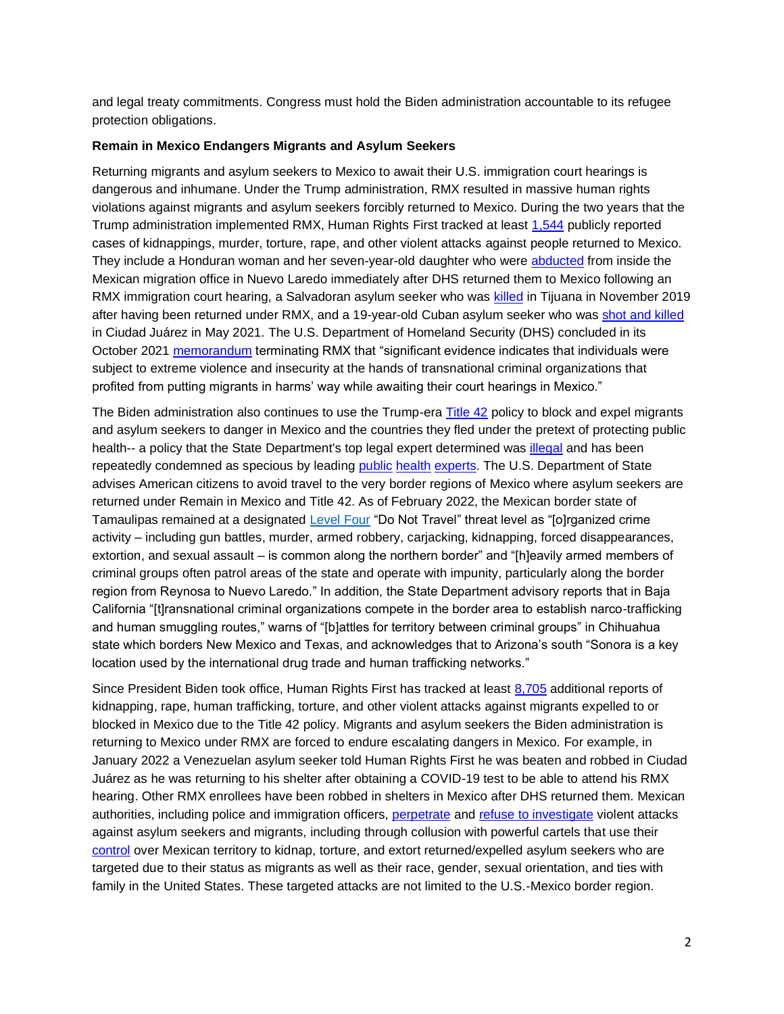and legal treaty commitments. Congress must hold the Biden administration accountable to its refugee protection obligations.

#### **Remain in Mexico Endangers Migrants and Asylum Seekers**

Returning migrants and asylum seekers to Mexico to await their U.S. immigration court hearings is dangerous and inhumane. Under the Trump administration, RMX resulted in massive human rights violations against migrants and asylum seekers forcibly returned to Mexico. During the two years that the Trump administration implemented RMX, Human Rights First tracked at least [1,544](https://www.humanrightsfirst.org/campaign/remain-mexico) publicly reported cases of kidnappings, murder, torture, rape, and other violent attacks against people returned to Mexico. They include a Honduran woman and her seven-year-old daughter who were [abducted](https://www.humanrightsfirst.org/sites/default/files/HumanRightsFiascoDec19.pdf) from inside the Mexican migration office in Nuevo Laredo immediately after DHS returned them to Mexico following an RMX immigration court hearing, a Salvadoran asylum seeker who was [killed](https://www.latimes.com/california/story/2019-12-12/attorney-central-american-in-mpp-program-murdered-in-tijuana) in Tijuana in November 2019 after having been returned under RMX, and a 19-year-old Cuban asylum seeker who was [shot and killed](https://www.buzzfeednews.com/article/adolfoflores/asylum-seeker-killed-in-mexico)  in Ciudad Juárez in May 2021. The U.S. Department of Homeland Security (DHS) concluded in its October 2021 [memorandum](https://www.dhs.gov/sites/default/files/publications/21_1029_mpp-termination-justification-memo.pdf) terminating RMX that "significant evidence indicates that individuals were subject to extreme violence and insecurity at the hands of transnational criminal organizations that profited from putting migrants in harms' way while awaiting their court hearings in Mexico."

The Biden administration also continues to use the Trump-era [Title 42](https://www.humanrightsfirst.org/resource/illegal-and-inhumane-biden-administration-continues-embrace-trump-title-42-policy-attacks) policy to block and expel migrants and asylum seekers to danger in Mexico and the countries they fled under the pretext of protecting public health-- a policy that the State Department's top legal expert determined was [illegal](https://www.politico.com/f/?id=0000017c-4c4a-dddc-a77e-4ddbf3ae0000) and has been repeatedly condemned as specious by leading [public](https://www.publichealth.columbia.edu/research/program-forced-migration-and-health/july-2021-letter-hhs-secretary-becerra-and-cdc-director-walensky-title-42-order) [health](https://www.publichealth.columbia.edu/node/76271) [experts.](https://thehill.com/opinion/immigration/576956-the-cdcs-title-42-order-fuels-racism-and-undermines-public-health) The U.S. Department of State advises American citizens to avoid travel to the very border regions of Mexico where asylum seekers are returned under Remain in Mexico and Title 42. As of February 2022, the Mexican border state of Tamaulipas remained at a designated Level Four "Do Not Travel" threat level as "[o]rganized crime activity – including gun battles, murder, armed robbery, carjacking, kidnapping, forced disappearances, extortion, and sexual assault – is common along the northern border" and "[h]eavily armed members of criminal groups often patrol areas of the state and operate with impunity, particularly along the border region from Reynosa to Nuevo Laredo." In addition, the State Department advisory reports that in Baja California "[t]ransnational criminal organizations compete in the border area to establish narco-trafficking and human smuggling routes," warns of "[b]attles for territory between criminal groups" in Chihuahua state which borders New Mexico and Texas, and acknowledges that to Arizona's south "Sonora is a key location used by the international drug trade and human trafficking networks."

Since President Biden took office, Human Rights First has tracked at least [8,705](https://www.humanrightsfirst.org/sites/default/files/AttacksonAsylumSeekersStrandedinMexicoDuringBidenAdministration.1.13.2022.pdf) additional reports of kidnapping, rape, human trafficking, torture, and other violent attacks against migrants expelled to or blocked in Mexico due to the Title 42 policy. Migrants and asylum seekers the Biden administration is returning to Mexico under RMX are forced to endure escalating dangers in Mexico. For example, in January 2022 a Venezuelan asylum seeker told Human Rights First he was beaten and robbed in Ciudad Juárez as he was returning to his shelter after obtaining a COVID-19 test to be able to attend his RMX hearing. Other RMX enrollees have been robbed in shelters in Mexico after DHS returned them. Mexican authorities, including police and immigration officers, [perpetrate](https://www.hrw.org/world-report/2021/country-chapters/mexico) and [refuse to investigate](https://www.borderreport.com/regions/mexico/human-rights-group-critical-levels-of-impunity-in-mexico/) violent attacks against asylum seekers and migrants, including through collusion with powerful cartels that use their [control](https://www.state.gov/reports/2020-country-reports-on-human-rights-practices/mexico/) over Mexican territory to kidnap, torture, and extort returned/expelled asylum seekers who are targeted due to their status as migrants as well as their race, gender, sexual orientation, and ties with family in the United States. These targeted attacks are not limited to the U.S.-Mexico border region.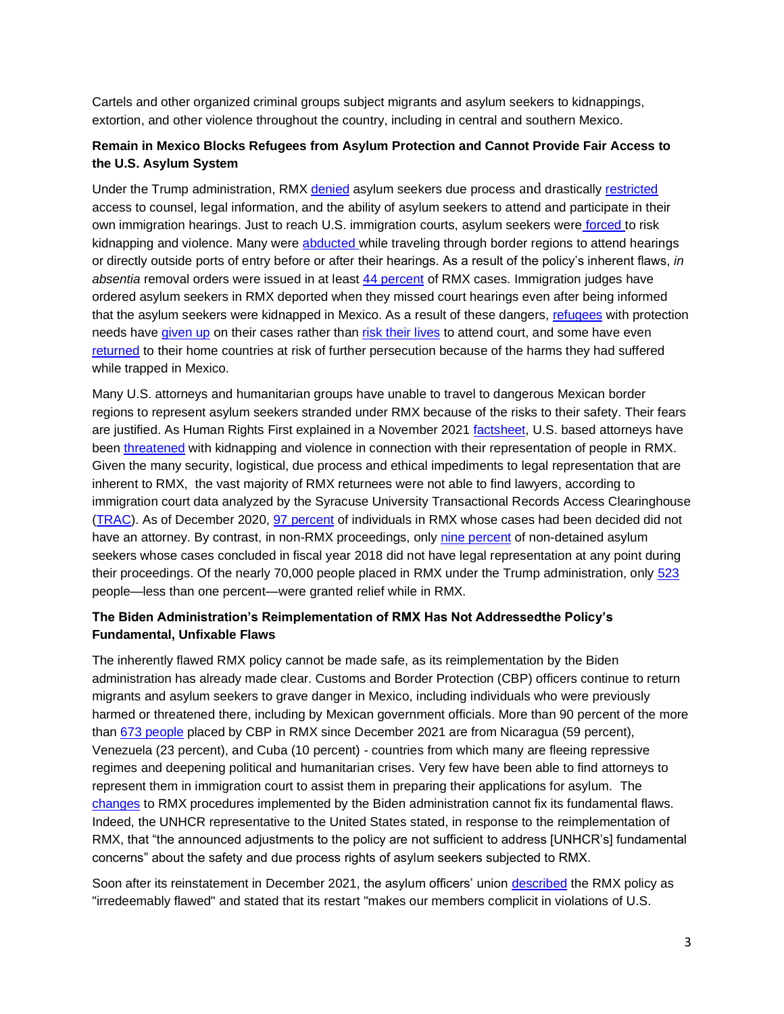Cartels and other organized criminal groups subject migrants and asylum seekers to kidnappings, extortion, and other violence throughout the country, including in central and southern Mexico.

# **Remain in Mexico Blocks Refugees from Asylum Protection and Cannot Provide Fair Access to the U.S. Asylum System**

Under the Trump administration, RMX [denied](https://www.humanrightsfirst.org/sites/default/files/HumanRightsFiascoDec19.pdf) asylum seekers due process and drastically [restricted](https://www.supremecourt.gov/DocketPDF/21/21A21/188222/20210823085748543_Biden%20v%20TX%20NGO%20Amici%20Motion%20and%20Brief%20Final%20to%20File%202021.08.23.pdf) access to counsel, legal information, and the ability of asylum seekers to attend and participate in their own immigration hearings. Just to reach U.S. immigration courts, asylum seekers were [forced](https://www.humanrightsfirst.org/sites/default/files/hrfordersfromabove.pdf) [t](https://www.humanrightsfirst.org/sites/default/files/hrfordersfromabove.pdf)o risk kidnapping and violence. Many were [abducted](https://www.humanrightsfirst.org/sites/default/files/HumanRightsFiascoDec19.pdf) while traveling through border regions to attend hearings or directly outside ports of entry before or after their hearings. As a result of the policy's inherent flaws, *in absentia* removal orders were issued in at least [44 percent](https://www.supremecourt.gov/DocketPDF/21/21A21/188222/20210823085748543_Biden%20v%20TX%20NGO%20Amici%20Motion%20and%20Brief%20Final%20to%20File%202021.08.23.pdf) of RMX cases. Immigration judges have ordered asylum seekers in RMX deported when they missed court hearings even after being informed that the asylum seekers were kidnapped in Mexico. As a result of these dangers, [refugees](https://www.humanrightsfirst.org/sites/default/files/HumanRightsFiascoDec19.pdf) with protection needs have [given up](https://www.expressnews.com/news/us-world/border-mexico/article/Kidnapped-and-attacked-in-Mexico-migrants-are-14474487.php) on their cases rather than [risk their lives](https://www.humanrightsfirst.org/sites/default/files/MPP-aYearofHorrors-UPDATED.pdf) to attend court, and some have even [returned](https://www.humanrightsfirst.org/sites/default/files/MPP%20Amicus%20Brief.pdf) to their home countries at risk of further persecution because of the harms they had suffered while trapped in Mexico.

Many U.S. attorneys and humanitarian groups have unable to travel to dangerous Mexican border regions to represent asylum seekers stranded under RMX because of the risks to their safety. Their fears are justified. As Human Rights First explained in a November 2021 [factsheet,](https://www.humanrightsfirst.org/resource/remain-mexico-restart-threatens-safety-attorneys-and-humanitarian-workers) U.S. based attorneys have been [threatened](https://www.buzzfeednews.com/article/adolfoflores/immigration-attorneys-mpp-pro-bono-list) with kidnapping and violence in connection with their representation of people in RMX. Given the many security, logistical, due process and ethical impediments to legal representation that are inherent to RMX, the vast majority of RMX returnees were not able to find lawyers, according to immigration court data analyzed by the Syracuse University Transactional Records Access Clearinghouse [\(TRAC\)](https://trac.syr.edu/phptools/immigration/mpp/). As of December 2020, [97 percent](https://www.humanrightsfirst.org/sites/default/files/MPP%20Amicus%20Brief.pdf) of individuals in RMX whose cases had been decided did not have an attorney. By contrast, in non-RMX proceedings, only [nine](https://www.humanrightsfirst.org/sites/default/files/MPP%20Amicus%20Brief.pdf) [percent](https://www.humanrightsfirst.org/sites/default/files/MPP%20Amicus%20Brief.pdf) of non-detained asylum seekers whose cases concluded in fiscal year 2018 did not have legal representation at any point during their proceedings. Of the nearly 70,000 people placed in RMX under the Trump administration, only [523](https://www.cbp.gov/newsroom/stats/migrant-protection-protocols-fy-2020) people—less than one percent—were granted relief while in RMX.

## **The Biden Administration's Reimplementation of RMX Has Not Addressedthe Policy's Fundamental, Unfixable Flaws**

The inherently flawed RMX policy cannot be made safe, as its reimplementation by the Biden administration has already made clear. Customs and Border Protection (CBP) officers continue to return migrants and asylum seekers to grave danger in Mexico, including individuals who were previously harmed or threatened there, including by Mexican government officials. More than 90 percent of the more than [673 people](https://www.dhs.gov/sites/default/files/2022-02/22_0215_plcy_mpp_cohort_report_feb2022.pdf) placed by CBP in RMX since December 2021 are from Nicaragua (59 percent), Venezuela (23 percent), and Cuba (10 percent) - countries from which many are fleeing repressive regimes and deepening political and humanitarian crises. Very few have been able to find attorneys to represent them in immigration court to assist them in preparing their applications for asylum. The [changes](https://www.dhs.gov/sites/default/files/publications/21_1202_plcy_mpp-policy-guidance.pdf) to RMX procedures implemented by the Biden administration cannot fix its fundamental flaws. Indeed, the UNHCR representative to the United States [stated,](https://www.unhcr.org/en-us/news/press/2021/12/61a8eeef4/unhcr-comment-reinstatement-policy-endangers-asylum-seekers.html) in response to the reimplementation of RMX, that "the announced adjustments to the policy are not sufficient to address [UNHCR's] fundamental concerns" about the safety and due process rights of asylum seekers subjected to RMX.

Soon after its reinstatement in December 2021, the asylum officers' union [described](https://twitter.com/camiloreports/status/1466507045964853260) the RMX policy as "irredeemably flawed" and stated that its restart "makes our members complicit in violations of U.S.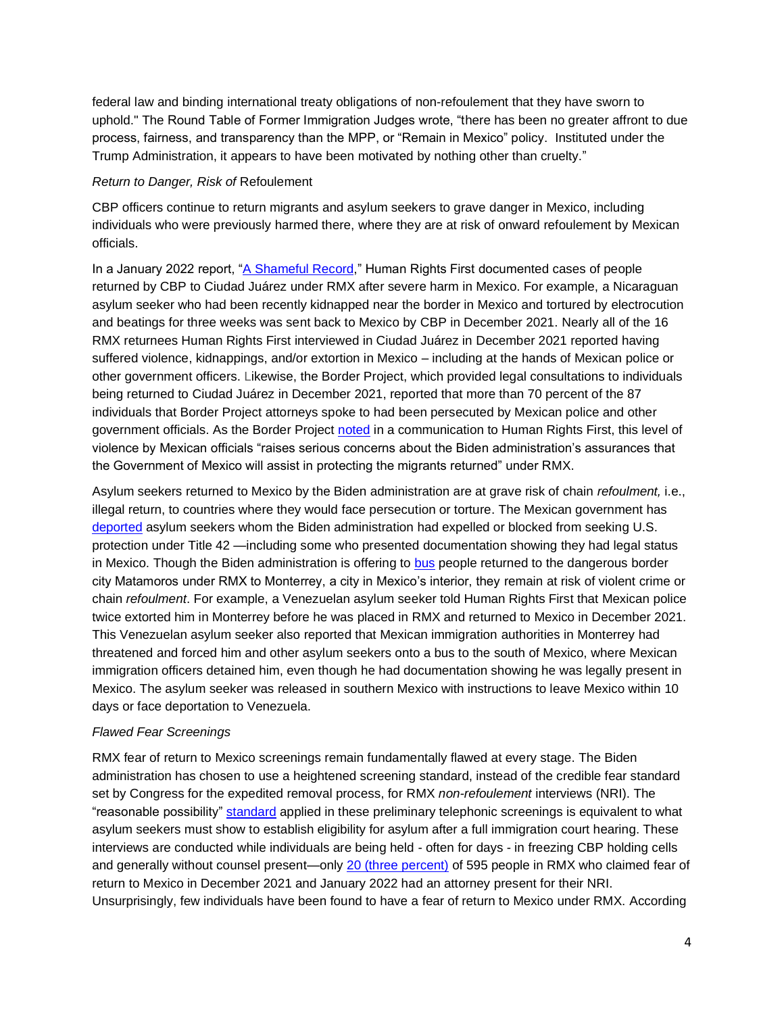federal law and binding international treaty obligations of non-refoulement that they have sworn to uphold." The Round Table of Former Immigration Judges wrote, "there has been no greater affront to due process, fairness, and transparency than the MPP, or "Remain in Mexico" policy. Instituted under the Trump Administration, it appears to have been motivated by nothing other than cruelty."

#### *Return to Danger, Risk of* Refoulement

CBP officers continue to return migrants and asylum seekers to grave danger in Mexico, including individuals who were previously harmed there, where they are at risk of onward refoulement by Mexican officials.

In a January 2022 report, ["A Shameful Record,](https://www.humanrightsfirst.org/sites/default/files/ShamefulRecord.pdf)" Human Rights First documented cases of people returned by CBP to Ciudad Juárez under RMX after severe harm in Mexico. For example, a Nicaraguan asylum seeker who had been recently kidnapped near the border in Mexico and tortured by electrocution and beatings for three weeks was sent back to Mexico by CBP in December 2021. Nearly all of the 16 RMX returnees Human Rights First interviewed in Ciudad Juárez in December 2021 reported having suffered violence, kidnappings, and/or extortion in Mexico – including at the hands of Mexican police or other government officers. Likewise, the Border Project, which provided legal consultations to individuals being returned to Ciudad Juárez in December 2021, reported that more than 70 percent of the 87 individuals that Border Project attorneys spoke to had been persecuted by Mexican police and other government officials. As the Border Project [noted](https://www.humanrightsfirst.org/sites/default/files/ShamefulRecord.pdf) in a communication to Human Rights First, this level of violence by Mexican officials "raises serious concerns about the Biden administration's assurances that the Government of Mexico will assist in protecting the migrants returned" under RMX.

Asylum seekers returned to Mexico by the Biden administration are at grave risk of chain *refoulment,* i.e., illegal return, to countries where they would face persecution or torture. The Mexican government has [deported](https://www.humanrightsfirst.org/resource/human-rights-travesty-biden-administration-embrace-trump-asylum-expulsion-policy-endangers) asylum seekers whom the Biden administration had expelled or blocked from seeking U.S. protection under Title 42 —including some who presented documentation showing they had legal status in Mexico. Though the Biden administration is offering to [bus](https://www.borderreport.com/hot-topics/immigration/mpp-restarts-in-south-texas-but-most-asylum-seekers-choose-to-wait-in-mexico-interior/) people returned to the dangerous border city Matamoros under RMX to Monterrey, a city in Mexico's interior, they remain at risk of violent crime or chain *refoulment*. For example, a Venezuelan asylum seeker told Human Rights First that Mexican police twice extorted him in Monterrey before he was placed in RMX and returned to Mexico in December 2021. This Venezuelan asylum seeker also reported that Mexican immigration authorities in Monterrey had threatened and forced him and other asylum seekers onto a bus to the south of Mexico, where Mexican immigration officers detained him, even though he had documentation showing he was legally present in Mexico. The asylum seeker was released in southern Mexico with instructions to leave Mexico within 10 days or face deportation to Venezuela.

#### *Flawed Fear Screenings*

RMX fear of return to Mexico screenings remain fundamentally flawed at every stage. The Biden administration has chosen to use a heightened screening standard, instead of the credible fear standard set by Congress for the expedited removal process, for RMX *non-refoulement* interviews (NRI). The "reasonable possibility" [standard](https://immpolicytracking.org/policies/uscis-raises-standard-for-initial-crediblereasonable-fear-interviews/#/tab-policy-documents) applied in these preliminary telephonic screenings is equivalent to what asylum seekers must show to establish eligibility for asylum after a full immigration court hearing. These interviews are conducted while individuals are being held - often for days - in freezing CBP holding cells and generally without counsel present—only [20 \(three percent\)](https://www.dhs.gov/sites/default/files/2022-02/22_0215_plcy_mpp_cohort_report_feb2022.pdf) of 595 people in RMX who claimed fear of return to Mexico in December 2021 and January 2022 had an attorney present for their NRI. Unsurprisingly, few individuals have been found to have a fear of return to Mexico under RMX. According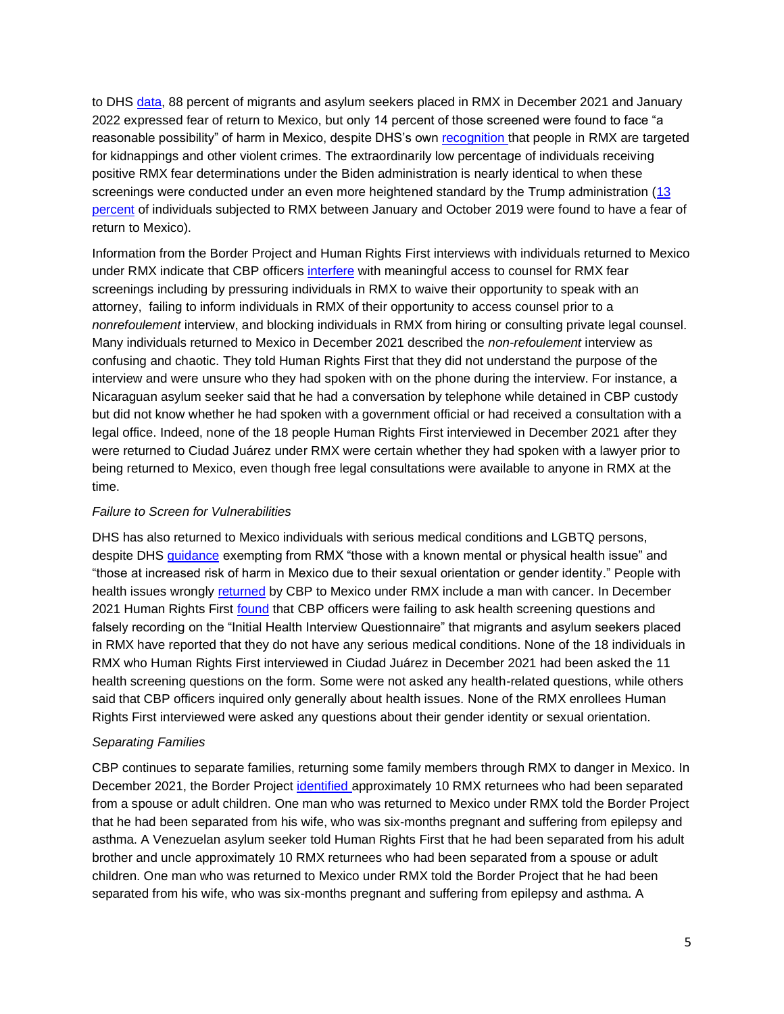to DHS [data,](https://www.dhs.gov/sites/default/files/2022-02/22_0215_plcy_mpp_cohort_report_feb2022.pdf) 88 percent of migrants and asylum seekers placed in RMX in December 2021 and January 2022 expressed fear of return to Mexico, but only 14 percent of those screened were found to face "a reasonable possibility" of harm in Mexico, despite DHS's own [recognition t](https://www.dhs.gov/sites/default/files/publications/21_1029_mpp-termination-justification-memo.pdf)hat people in RMX are targeted for kidnappings and other violent crimes. The extraordinarily low percentage of individuals receiving positive RMX fear determinations under the Biden administration is nearly identical to when these screenings were conducted under an even more heightened standard by the Trump administration [\(13](https://www.dhs.gov/sites/default/files/publications/assessment_of_the_migrant_protection_protocols_mpp.pdf)  [percent](https://www.dhs.gov/sites/default/files/publications/assessment_of_the_migrant_protection_protocols_mpp.pdf) of individuals subjected to RMX between January and October 2019 were found to have a fear of return to Mexico).

Information from the Border Project and Human Rights First interviews with individuals returned to Mexico under RMX indicate that CBP officers [interfere](https://www.humanrightsfirst.org/sites/default/files/ShamefulRecord.pdf) with meaningful access to counsel for RMX fear screenings including by pressuring individuals in RMX to waive their opportunity to speak with an attorney, failing to inform individuals in RMX of their opportunity to access counsel prior to a *nonrefoulement* interview, and blocking individuals in RMX from hiring or consulting private legal counsel. Many individuals returned to Mexico in December 2021 described the *non-refoulement* interview as confusing and chaotic. They told Human Rights First that they did not understand the purpose of the interview and were unsure who they had spoken with on the phone during the interview. For instance, a Nicaraguan asylum seeker said that he had a conversation by telephone while detained in CBP custody but did not know whether he had spoken with a government official or had received a consultation with a legal office. Indeed, none of the 18 people Human Rights First interviewed in December 2021 after they were returned to Ciudad Juárez under RMX were certain whether they had spoken with a lawyer prior to being returned to Mexico, even though free legal consultations were available to anyone in RMX at the time.

#### *Failure to Screen for Vulnerabilities*

DHS has also returned to Mexico individuals with serious medical conditions and LGBTQ persons, despite DHS [guidance](https://www.dhs.gov/sites/default/files/publications/21_1202_plcy_mpp-policy-guidance.pdf) exempting from RMX "those with a known mental or physical health issue" and "those at increased risk of harm in Mexico due to their sexual orientation or gender identity." People with health issues wrongly [returned](https://www.humanrightsfirst.org/sites/default/files/ShamefulRecord.pdf) by CBP to Mexico under RMX include a man with cancer. In December 2021 Human Rights First [found](https://www.humanrightsfirst.org/resource/inhumane-again-remain-mexico-rollout-confirms-endemic-flaws-unfixable-policy) that CBP officers were failing to ask health screening questions and falsely recording on the "Initial Health Interview Questionnaire" that migrants and asylum seekers placed in RMX have reported that they do not have any serious medical conditions. None of the 18 individuals in RMX who Human Rights First interviewed in Ciudad Juárez in December 2021 had been asked the 11 health screening questions on the form. Some were not asked any health-related questions, while others said that CBP officers inquired only generally about health issues. None of the RMX enrollees Human Rights First interviewed were asked any questions about their gender identity or sexual orientation.

## *Separating Families*

CBP continues to separate families, returning some family members through RMX to danger in Mexico. In December 2021, the Border Project [identified](https://www.humanrightsfirst.org/sites/default/files/ShamefulRecord.pdf) approximately 10 RMX returnees who had been separated from a spouse or adult children. One man who was returned to Mexico under RMX told the Border Project that he had been separated from his wife, who was six-months pregnant and suffering from epilepsy and asthma. A Venezuelan asylum seeker told Human Rights First that he had been separated from his adult brother and uncle approximately 10 RMX returnees who had been separated from a spouse or adult children. One man who was returned to Mexico under RMX told the Border Project that he had been separated from his wife, who was six-months pregnant and suffering from epilepsy and asthma. A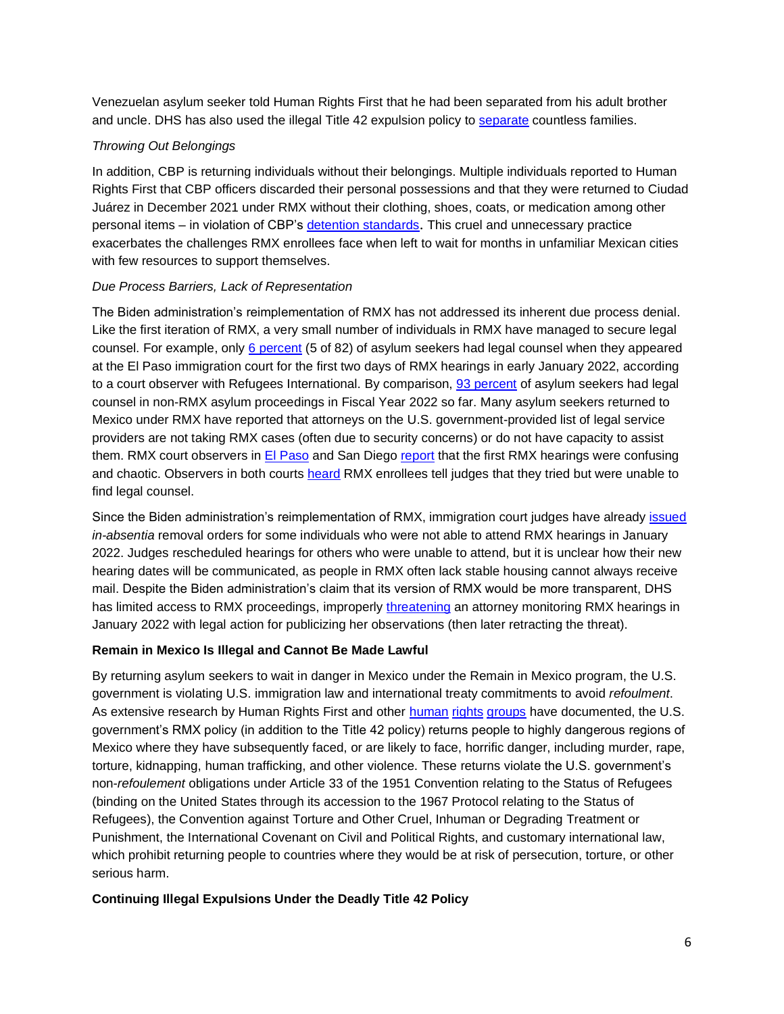Venezuelan asylum seeker told Human Rights First that he had been separated from his adult brother and uncle. DHS has also used the illegal Title 42 expulsion policy to [separate](https://www.humanrightsfirst.org/resource/failure-protect-biden-administration-continues-illegal-trump-policy-block-and-expel-asylum) countless families.

## *Throwing Out Belongings*

In addition, CBP is returning individuals without their belongings. Multiple individuals reported to Human Rights First that CBP officers discarded their personal possessions and that they were returned to Ciudad Juárez in December 2021 under RMX without their clothing, shoes, coats, or medication among other personal items - in violation of CBP's [detention standards](https://www.cbp.gov/sites/default/files/assets/documents/2020-Feb/cbp-teds-policy-october2015.pdf). This cruel and unnecessary practice exacerbates the challenges RMX enrollees face when left to wait for months in unfamiliar Mexican cities with few resources to support themselves.

#### *Due Process Barriers, Lack of Representation*

The Biden administration's reimplementation of RMX has not addressed its inherent due process denial. Like the first iteration of RMX, a very small number of individuals in RMX have managed to secure legal counsel. For example, only [6 percent](https://elpasomatters.org/2022/01/05/remain-in-mexico-court-hearings-resume-in-el-paso/) (5 of 82) of asylum seekers had legal counsel when they appeared at the El Paso immigration court for the first two days of RMX hearings in early January 2022, according to a [court observer](https://elpasomatters.org/2022/01/05/remain-in-mexico-court-hearings-resume-in-el-paso/) with Refugees International. By comparison, [93 percent](https://trac.syr.edu/phptools/immigration/asylum/) of asylum seekers had legal counsel in non-RMX asylum proceedings in Fiscal Year 2022 so far. Many asylum seekers returned to Mexico under RMX have reported that attorneys on the U.S. government-provided list of legal service providers are not taking RMX cases (often due to security concerns) or do not have capacity to assist them. RMX court observers in [El Paso](https://www.refugeesinternational.org/reports/2022/2/10/mpp-as-a-microcosm-whats-wrong-with-asylum-at-the-border-and-how-to-fix-it) and San Diego [report](https://www.sandiegouniontribune.com/news/immigration/story/2022-02-01/remain-in-mexico-hearings) that the first RMX hearings were confusing and chaotic. Observers in both courts [heard](https://www.sandiegouniontribune.com/news/immigration/story/2022-02-01/remain-in-mexico-hearings) RMX enrollees tell judges that they tried but were unable to find legal counsel.

Since the Biden administration's reimplementation of RMX, immigration court judges have already [issued](https://www.refugeesinternational.org/reports/2022/2/10/mpp-as-a-microcosm-whats-wrong-with-asylum-at-the-border-and-how-to-fix-it) *in-absentia* removal orders for some individuals who were not able to attend RMX hearings in January 2022. Judges rescheduled hearings for others who were unable to attend, but it is unclear how their new hearing dates will be communicated, as people in RMX often lack stable housing cannot always receive mail. Despite the Biden administration's claim that its version of RMX would be more transparent, DHS has limited access to RMX proceedings, improperly [threatening](https://www.sfchronicle.com/politics/article/A-California-lawyer-tweeted-what-she-saw-in-16841515.php) an attorney monitoring RMX hearings in January 2022 with legal action for publicizing her observations (then later retracting the threat).

#### **Remain in Mexico Is Illegal and Cannot Be Made Lawful**

By returning asylum seekers to wait in danger in Mexico under the Remain in Mexico program, the U.S. government is violating U.S. immigration law and international treaty commitments to avoid *refoulment*. As extensive research by Human Rights First and other [human](https://www.doctorswithoutborders.org/sites/default/files/documents/Doctors%20Without%20Borders_No%20Way%20Out%20Report.pdf) [rights](https://www.hrw.org/news/2020/02/12/us-remain-mexico-program-harming-children) [groups](https://phr.org/our-work/resources/asylum-seekers-fleeing-violence-in-mexico-and-central-america/#close-modal) have documented, the U.S. government's RMX policy (in addition to the Title 42 policy) returns people to highly dangerous regions of Mexico where they have subsequently faced, or are likely to face, horrific danger, including murder, rape, torture, kidnapping, human trafficking, and other violence. These returns violate the U.S. government's non-*refoulement* obligations under Article 33 of the 1951 Convention relating to the Status of Refugees (binding on the United States through its accession to the 1967 Protocol relating to the Status of Refugees), the Convention against Torture and Other Cruel, Inhuman or Degrading Treatment or Punishment, the International Covenant on Civil and Political Rights, and customary international law, which prohibit returning people to countries where they would be at risk of persecution, torture, or other serious harm.

#### **Continuing Illegal Expulsions Under the Deadly Title 42 Policy**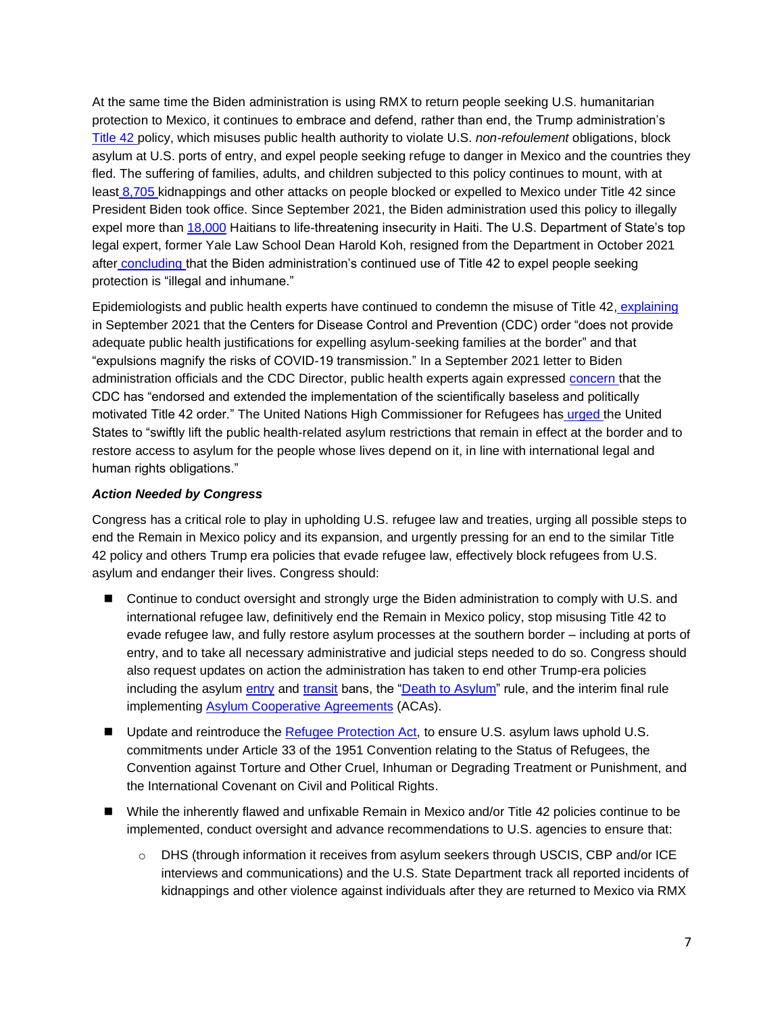At the same time the Biden administration is using RMX to return people seeking U.S. humanitarian protection to Mexico, it continues to embrace and defend, rather than end, the Trump administration's [Title 42](https://www.humanrightsfirst.org/resource/illegal-and-inhumane-biden-administration-continues-embrace-trump-title-42-policy-attacks) policy, which misuses public health authority to violate U.S. *non-refoulement* obligations, block asylum at U.S. ports of entry, and expel people seeking refuge to danger in Mexico and the countries they fled. The suffering of families, adults, and children subjected to this policy continues to mount, with at least [8,705](https://www.humanrightsfirst.org/sites/default/files/AttacksonAsylumSeekersStrandedinMexicoDuringBidenAdministration.1.13.2022.pdf) kidnappings and other attacks on people blocked or expelled to Mexico under Title 42 since President Biden took office. Since September 2021, the Biden administration used this policy to illegally expel more than [18,000](https://twitter.com/thcartwright/status/1497184673029623809) Haitians to life-threatening insecurity in Haiti. The U.S. Department of State's top legal expert, former Yale Law School Dean Harold Koh, resigned from the Department in October 2021 after [concluding](https://www.politico.com/f/?id=0000017c-4c4a-dddc-a77e-4ddbf3ae0000) [t](https://www.politico.com/f/?id=0000017c-4c4a-dddc-a77e-4ddbf3ae0000)hat the Biden administration's continued use of Title 42 to expel people seeking protection is "illegal and inhumane."

Epidemiologists and public health experts have continued to condemn the misuse of Title 42[,](https://www.publichealth.columbia.edu/node/76271) [explaining](https://www.publichealth.columbia.edu/node/76271) in September 2021 that the Centers for Disease Control and Prevention (CDC) order "does not provide adequate public health justifications for expelling asylum-seeking families at the border" and that "expulsions magnify the risks of COVID-19 transmission." In a September 2021 letter to Biden administration officials and the CDC Director, public health experts again expressed [concern](https://www.publichealth.columbia.edu/research/program-forced-migration-and-health/letter-cdc-director-walensky-hhs-secretary-becerra-and-dhs-secretary-mayorkas-august-2021-title-42-0) that the CDC has "endorsed and extended the implementation of the scientifically baseless and politically motivated Title 42 order." The United Nations High Commissioner for Refugees has [urged](https://www.unhcr.org/news/press/2021/5/60a687764/statement-attributable-un-high-commissioner-refugees-filippo-grandi-need.html) [t](https://www.unhcr.org/news/press/2021/5/60a687764/statement-attributable-un-high-commissioner-refugees-filippo-grandi-need.html)he United States to "swiftly lift the public health-related asylum restrictions that remain in effect at the border and to restore access to asylum for the people whose lives depend on it, in line with international legal and human rights obligations."

## *Action Needed by Congress*

Congress has a critical role to play in upholding U.S. refugee law and treaties, urging all possible steps to end the Remain in Mexico policy and its expansion, and urgently pressing for an end to the similar Title 42 policy and others Trump era policies that evade refugee law, effectively block refugees from U.S. asylum and endanger their lives. Congress should:

- Continue to conduct oversight and strongly urge the Biden administration to comply with U.S. and international refugee law, definitively end the Remain in Mexico policy, stop misusing Title 42 to evade refugee law, and fully restore asylum processes at the southern border – including at ports of entry, and to take all necessary administrative and judicial steps needed to do so. Congress should also request updates on action the administration has taken to end other Trump-era policies including the asylum [entry](https://www.federalregister.gov/documents/2018/11/09/2018-24594/aliens-subject-to-a-bar-on-entry-under-certain-presidential-proclamations-procedures-for-protection) and [transit](https://www.federalregister.gov/documents/2020/12/17/2020-27856/asylum-eligibility-and-procedural-modifications) bans, the ["Death to Asylum"](https://www.federalregister.gov/documents/2020/12/11/2020-26875/procedures-for-asylum-and-withholding-of-removal-credible-fear-and-reasonable-fear-review) rule, and the interim final rule implementing [Asylum Cooperative Agreements](https://www.federalregister.gov/documents/2019/11/19/2019-25137/implementing-bilateral-and-multilateral-asylum-cooperative-agreements-under-the-immigration-and) (ACAs).
- Update and reintroduce the [Refugee Protection Act,](https://www.congress.gov/bill/116th-congress/house-bill/5210?q=%7B%22search%22%3A%5B%22refugee+protection+act%22%2C%22refugee%22%2C%22protection%22%2C%22act%22%5D%7D&s=3&r=1) to ensure U.S. asylum laws uphold U.S. commitments under Article 33 of the 1951 Convention relating to the Status of Refugees, the Convention against Torture and Other Cruel, Inhuman or Degrading Treatment or Punishment, and the International Covenant on Civil and Political Rights.
- While the inherently flawed and unfixable Remain in Mexico and/or Title 42 policies continue to be implemented, conduct oversight and advance recommendations to U.S. agencies to ensure that:
	- o DHS (through information it receives from asylum seekers through USCIS, CBP and/or ICE interviews and communications) and the U.S. State Department track all reported incidents of kidnappings and other violence against individuals after they are returned to Mexico via RMX